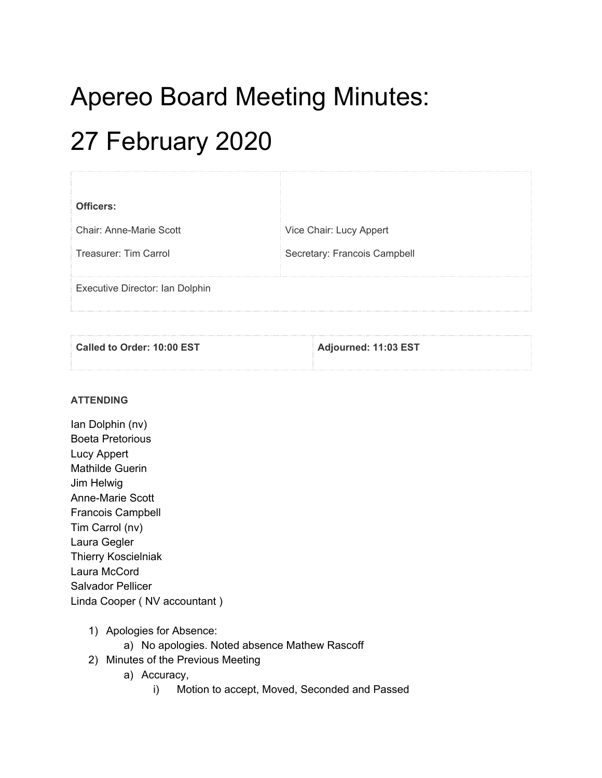# Apereo Board Meeting Minutes:

## 27 February 2020

| Vice Chair: Lucy Appert      |
|------------------------------|
| Secretary: Francois Campbell |
|                              |
|                              |
|                              |

| Called to Order: 10:00 EST | Adjourned: 11:03 EST |
|----------------------------|----------------------|
|                            |                      |

#### **ATTENDING**

- Ian Dolphin (nv) Boeta Pretorious Lucy Appert Mathilde Guerin Jim Helwig Anne-Marie Scott Francois Campbell Tim Carrol (nv) Laura Gegler Thierry Koscielniak Laura McCord Salvador Pellicer Linda Cooper ( NV accountant )
	- 1) Apologies for Absence:
		- a) No apologies. Noted absence Mathew Rascoff
	- 2) Minutes of the Previous Meeting
		- a) Accuracy,
			- i) Motion to accept, Moved, Seconded and Passed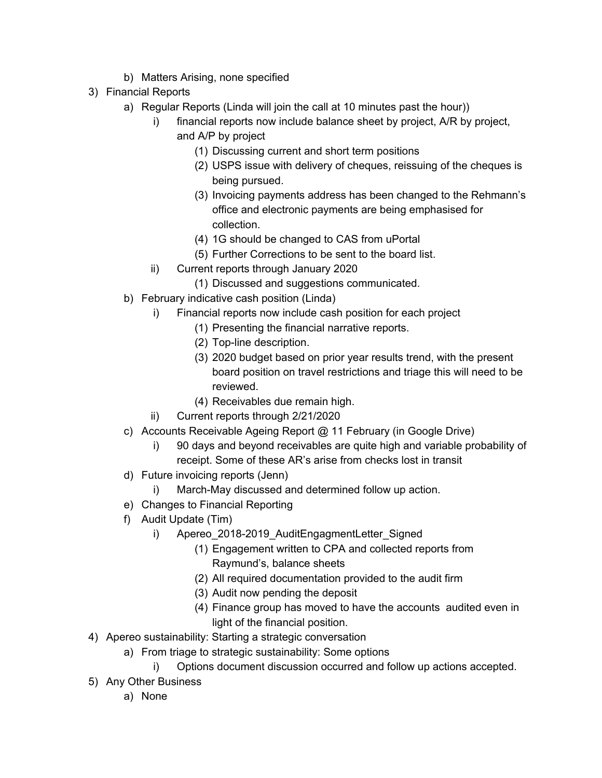- b) Matters Arising, none specified
- 3) Financial Reports
	- a) Regular Reports (Linda will join the call at 10 minutes past the hour))
		- i) financial reports now include balance sheet by project, A/R by project, and A/P by project
			- (1) Discussing current and short term positions
			- (2) USPS issue with delivery of cheques, reissuing of the cheques is being pursued.
			- (3) Invoicing payments address has been changed to the Rehmann's office and electronic payments are being emphasised for collection.
			- (4) 1G should be changed to CAS from uPortal
			- (5) Further Corrections to be sent to the board list.
		- ii) Current reports through January 2020
			- (1) Discussed and suggestions communicated.
	- b) February indicative cash position (Linda)
		- i) Financial reports now include cash position for each project
			- (1) Presenting the financial narrative reports.
			- (2) Top-line description.
			- (3) 2020 budget based on prior year results trend, with the present board position on travel restrictions and triage this will need to be reviewed.
			- (4) Receivables due remain high.
		- ii) Current reports through 2/21/2020
	- c) Accounts Receivable Ageing Report @ 11 February (in Google Drive)
		- i) 90 days and beyond receivables are quite high and variable probability of receipt. Some of these AR's arise from checks lost in transit
	- d) Future invoicing reports (Jenn)
		- i) March-May discussed and determined follow up action.
	- e) Changes to Financial Reporting
	- f) Audit Update (Tim)
		- i) Apereo\_2018-2019\_AuditEngagmentLetter\_Signed
			- (1) Engagement written to CPA and collected reports from Raymund's, balance sheets
			- (2) All required documentation provided to the audit firm
			- (3) Audit now pending the deposit
			- (4) Finance group has moved to have the accounts audited even in light of the financial position.
- 4) Apereo sustainability: Starting a strategic conversation
	- a) From triage to strategic sustainability: Some options
		- i) Options document discussion occurred and follow up actions accepted.
- 5) Any Other Business
	- a) None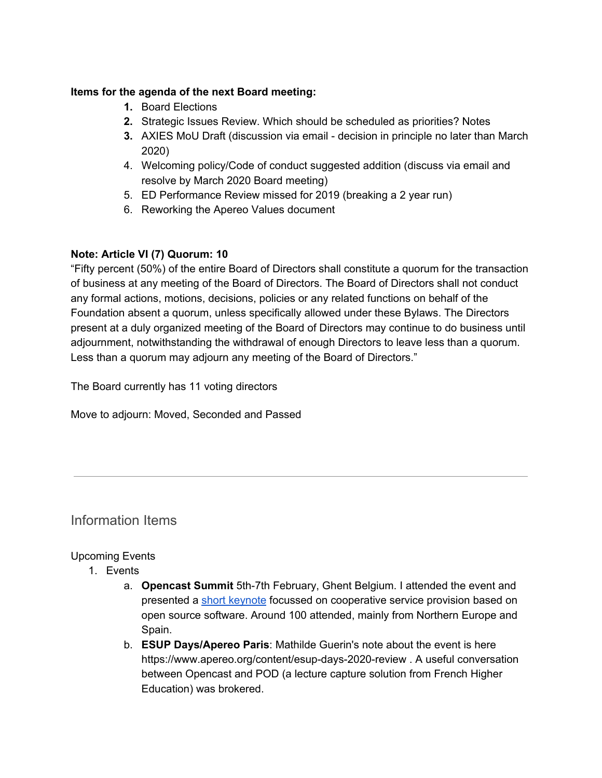#### **Items for the agenda of the next Board meeting:**

- **1.** Board Elections
- **2.** Strategic Issues Review. Which should be scheduled as priorities? Notes
- **3.** AXIES MoU Draft (discussion via email decision in principle no later than March 2020)
- 4. Welcoming policy/Code of conduct suggested addition (discuss via email and resolve by March 2020 Board meeting)
- 5. ED Performance Review missed for 2019 (breaking a 2 year run)
- 6. Reworking the Apereo Values document

#### **Note: Article VI (7) Quorum: 10**

"Fifty percent (50%) of the entire Board of Directors shall constitute a quorum for the transaction of business at any meeting of the Board of Directors. The Board of Directors shall not conduct any formal actions, motions, decisions, policies or any related functions on behalf of the Foundation absent a quorum, unless specifically allowed under these Bylaws. The Directors present at a duly organized meeting of the Board of Directors may continue to do business until adjournment, notwithstanding the withdrawal of enough Directors to leave less than a quorum. Less than a quorum may adjourn any meeting of the Board of Directors."

The Board currently has 11 voting directors

Move to adjourn: Moved, Seconded and Passed

### Information Items

#### Upcoming Events

- 1. Events
	- a. **Opencast Summit** 5th-7th February, Ghent Belgium. I attended the event and presented a short [keynote](https://drive.google.com/drive/folders/1A9d_IO0KUenlckXmh5sFUpn3ndD-xSk5) focussed on cooperative service provision based on open source software. Around 100 attended, mainly from Northern Europe and Spain.
	- b. **ESUP Days/Apereo Paris**: Mathilde Guerin's note about the event is here https://www.apereo.org/content/esup-days-2020-review . A useful conversation between Opencast and POD (a lecture capture solution from French Higher Education) was brokered.